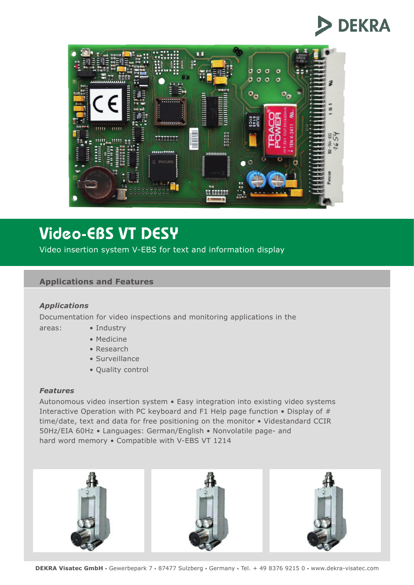



# Video-EBS VT DESY

Video insertion system V-EBS for text and information display

### **Applications and Features**

#### *Applications*

Documentation for video inspections and monitoring applications in the

- areas: Industry
	-
	- Medicine
	- Research
	- Surveillance
	- Quality control

#### *Features*

Autonomous video insertion system • Easy integration into existing video systems Interactive Operation with PC keyboard and F1 Help page function • Display of # time/date, text and data for free positioning on the monitor • Videstandard CCIR 50Hz/EIA 60Hz • Languages: German/English • Nonvolatile page- and hard word memory • Compatible with V-EBS VT 1214